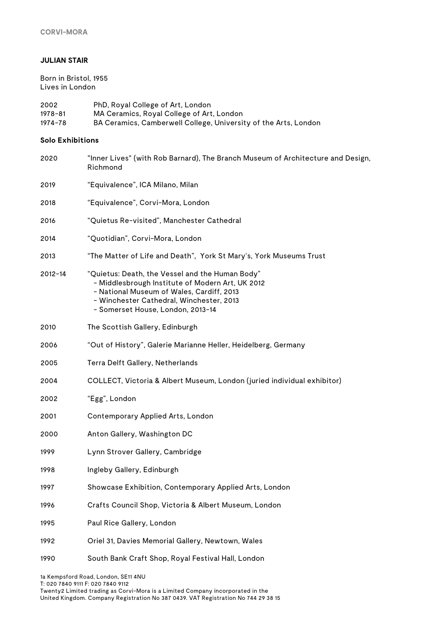### **JULIAN STAIR**

Born in Bristol, 1955 Lives in London

2002 PhD, Royal College of Art, London 1978-81 MA Ceramics, Royal College of Art, London 1974-78 BA Ceramics, Camberwell College, University of the Arts, London

#### **Solo Exhibitions**

| 2020        | "Inner Lives" (with Rob Barnard), The Branch Museum of Architecture and Design,<br>Richmond                                                                                                                                       |
|-------------|-----------------------------------------------------------------------------------------------------------------------------------------------------------------------------------------------------------------------------------|
| 2019        | "Equivalence", ICA Milano, Milan                                                                                                                                                                                                  |
| 2018        | "Equivalence", Corvi-Mora, London                                                                                                                                                                                                 |
| 2016        | "Quietus Re-visited", Manchester Cathedral                                                                                                                                                                                        |
| 2014        | "Quotidian", Corvi-Mora, London                                                                                                                                                                                                   |
| 2013        | "The Matter of Life and Death",York St Mary's, York Museums Trust                                                                                                                                                                 |
| $2012 - 14$ | "Quietus: Death, the Vessel and the Human Body"<br>- Middlesbrough Institute of Modern Art, UK 2012<br>- National Museum of Wales, Cardiff, 2013<br>- Winchester Cathedral, Winchester, 2013<br>- Somerset House, London, 2013-14 |
| 2010        | The Scottish Gallery, Edinburgh                                                                                                                                                                                                   |
| 2006        | "Out of History", Galerie Marianne Heller, Heidelberg, Germany                                                                                                                                                                    |
| 2005        | Terra Delft Gallery, Netherlands                                                                                                                                                                                                  |
| 2004        | COLLECT, Victoria & Albert Museum, London (juried individual exhibitor)                                                                                                                                                           |
| 2002        | "Egg", London                                                                                                                                                                                                                     |
| 2001        | Contemporary Applied Arts, London                                                                                                                                                                                                 |
| 2000        | Anton Gallery, Washington DC                                                                                                                                                                                                      |
| 1999        | Lynn Strover Gallery, Cambridge                                                                                                                                                                                                   |
| 1998        | Ingleby Gallery, Edinburgh                                                                                                                                                                                                        |
| 1997        | Showcase Exhibition, Contemporary Applied Arts, London                                                                                                                                                                            |
| 1996        | Crafts Council Shop, Victoria & Albert Museum, London                                                                                                                                                                             |
| 1995        | Paul Rice Gallery, London                                                                                                                                                                                                         |
| 1992        | Oriel 31, Davies Memorial Gallery, Newtown, Wales                                                                                                                                                                                 |
| 1990        | South Bank Craft Shop, Royal Festival Hall, London                                                                                                                                                                                |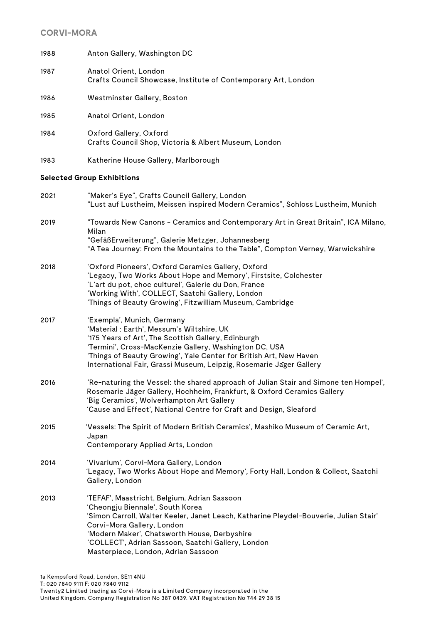| 1988 | Anton Gallery, Washington DC                                                                                                                                                                                                                                                                                                                         |
|------|------------------------------------------------------------------------------------------------------------------------------------------------------------------------------------------------------------------------------------------------------------------------------------------------------------------------------------------------------|
| 1987 | Anatol Orient, London<br>Crafts Council Showcase, Institute of Contemporary Art, London                                                                                                                                                                                                                                                              |
| 1986 | Westminster Gallery, Boston                                                                                                                                                                                                                                                                                                                          |
| 1985 | Anatol Orient, London                                                                                                                                                                                                                                                                                                                                |
| 1984 | Oxford Gallery, Oxford<br>Crafts Council Shop, Victoria & Albert Museum, London                                                                                                                                                                                                                                                                      |
| 1983 | Katherine House Gallery, Marlborough                                                                                                                                                                                                                                                                                                                 |
|      | <b>Selected Group Exhibitions</b>                                                                                                                                                                                                                                                                                                                    |
| 2021 | "Maker's Eye", Crafts Council Gallery, London<br>"Lust auf Lustheim, Meissen inspired Modern Ceramics", Schloss Lustheim, Munich                                                                                                                                                                                                                     |
| 2019 | "Towards New Canons - Ceramics and Contemporary Art in Great Britain", ICA Milano,<br>Milan<br>"GefäßErweiterung", Galerie Metzger, Johannesberg<br>"A Tea Journey: From the Mountains to the Table", Compton Verney, Warwickshire                                                                                                                   |
| 2018 | 'Oxford Pioneers', Oxford Ceramics Gallery, Oxford<br>'Legacy, Two Works About Hope and Memory', Firstsite, Colchester<br>'L'art du pot, choc culturel', Galerie du Don, France<br>'Working With', COLLECT, Saatchi Gallery, London<br>'Things of Beauty Growing', Fitzwilliam Museum, Cambridge                                                     |
| 2017 | 'Exempla', Munich, Germany<br>'Material : Earth', Messum's Wiltshire, UK<br>'175 Years of Art', The Scottish Gallery, Edinburgh<br>'Termini', Cross-MacKenzie Gallery, Washington DC, USA<br>'Things of Beauty Growing', Yale Center for British Art, New Haven<br>International Fair, Grassi Museum, Leipzig, Rosemarie Jager Gallery               |
| 2016 | 'Re-naturing the Vessel: the shared approach of Julian Stair and Simone ten Hompel',<br>Rosemarie Jäger Gallery, Hochheim, Frankfurt, & Oxford Ceramics Gallery<br>'Big Ceramics', Wolverhampton Art Gallery<br>'Cause and Effect', National Centre for Craft and Design, Sleaford                                                                   |
| 2015 | 'Vessels: The Spirit of Modern British Ceramics', Mashiko Museum of Ceramic Art,<br>Japan<br>Contemporary Applied Arts, London                                                                                                                                                                                                                       |
| 2014 | 'Vivarium', Corvi-Mora Gallery, London<br>'Legacy, Two Works About Hope and Memory', Forty Hall, London & Collect, Saatchi<br>Gallery, London                                                                                                                                                                                                        |
| 2013 | 'TEFAF', Maastricht, Belgium, Adrian Sassoon<br>'Cheongju Biennale', South Korea<br>'Simon Carroll, Walter Keeler, Janet Leach, Katharine Pleydel-Bouverie, Julian Stair'<br>Corvi-Mora Gallery, London<br>'Modern Maker', Chatsworth House, Derbyshire<br>'COLLECT', Adrian Sassoon, Saatchi Gallery, London<br>Masterpiece, London, Adrian Sassoon |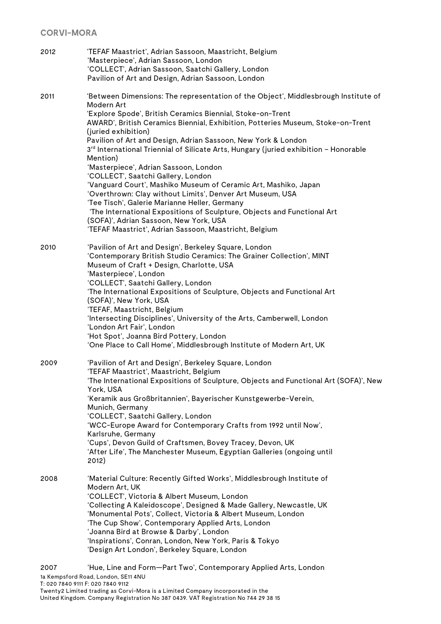2012 'TEFAF Maastrict', Adrian Sassoon, Maastricht, Belgium 'Masterpiece', Adrian Sassoon, London 'COLLECT', Adrian Sassoon, Saatchi Gallery, London Pavilion of Art and Design, Adrian Sassoon, London 2011 'Between Dimensions: The representation of the Object', Middlesbrough Institute of Modern Art 'Explore Spode', British Ceramics Biennial, Stoke-on-Trent AWARD', British Ceramics Biennial, Exhibition, Potteries Museum, Stoke-on-Trent (juried exhibition) Pavilion of Art and Design, Adrian Sassoon, New York & London 3<sup>rd</sup> International Triennial of Silicate Arts, Hungary (juried exhibition - Honorable Mention) 'Masterpiece', Adrian Sassoon, London 'COLLECT', Saatchi Gallery, London 'Vanguard Court', Mashiko Museum of Ceramic Art, Mashiko, Japan 'Overthrown: Clay without Limits', Denver Art Museum, USA 'Tee Tisch', Galerie Marianne Heller, Germany 'The International Expositions of Sculpture, Objects and Functional Art (SOFA)', Adrian Sassoon, New York, USA 'TEFAF Maastrict', Adrian Sassoon, Maastricht, Belgium 2010 'Pavilion of Art and Design', Berkeley Square, London 'Contemporary British Studio Ceramics: The Grainer Collection', MINT Museum of Craft + Design, Charlotte, USA 'Masterpiece', London 'COLLECT', Saatchi Gallery, London 'The International Expositions of Sculpture, Objects and Functional Art (SOFA)', New York, USA 'TEFAF, Maastricht, Belgium 'Intersecting Disciplines', University of the Arts, Camberwell, London 'London Art Fair', London 'Hot Spot', Joanna Bird Pottery, London 'One Place to Call Home', Middlesbrough Institute of Modern Art, UK 2009 'Pavilion of Art and Design', Berkeley Square, London 'TEFAF Maastrict', Maastricht, Belgium 'The International Expositions of Sculpture, Objects and Functional Art (SOFA)', New York, USA 'Keramik aus Großbritannien', Bayerischer Kunstgewerbe-Verein, Munich, Germany 'COLLECT', Saatchi Gallery, London 'WCC-Europe Award for Contemporary Crafts from 1992 until Now', Karlsruhe, Germany 'Cups', Devon Guild of Craftsmen, Bovey Tracey, Devon, UK 'After Life', The Manchester Museum, Egyptian Galleries (ongoing until 2012) 2008 'Material Culture: Recently Gifted Works', Middlesbrough Institute of Modern Art, UK 'COLLECT', Victoria & Albert Museum, London 'Collecting A Kaleidoscope', Designed & Made Gallery, Newcastle, UK 'Monumental Pots', Collect, Victoria & Albert Museum, London 'The Cup Show', Contemporary Applied Arts, London 'Joanna Bird at Browse & Darby', London 'Inspirations', Conran, London, New York, Paris & Tokyo 'Design Art London', Berkeley Square, London

1a Kempsford Road, London, SE11 4NU T: 020 7840 9111 F: 020 7840 9112 Twenty2 Limited trading as Corvi-Mora is a Limited Company incorporated in the 2007 'Hue, Line and Form—Part Two', Contemporary Applied Arts, London

United Kingdom. Company Registration No 387 0439. VAT Registration No 744 29 38 15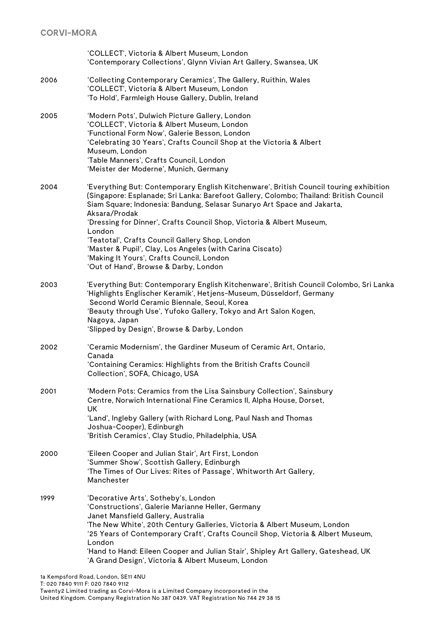|      | 'COLLECT', Victoria & Albert Museum, London<br>'Contemporary Collections', Glynn Vivian Art Gallery, Swansea, UK                                                                                                                                                                                                                                                                                                                                                                                                                                                      |
|------|-----------------------------------------------------------------------------------------------------------------------------------------------------------------------------------------------------------------------------------------------------------------------------------------------------------------------------------------------------------------------------------------------------------------------------------------------------------------------------------------------------------------------------------------------------------------------|
| 2006 | 'Collecting Contemporary Ceramics', The Gallery, Ruithin, Wales<br>'COLLECT', Victoria & Albert Museum, London<br>'To Hold', Farmleigh House Gallery, Dublin, Ireland                                                                                                                                                                                                                                                                                                                                                                                                 |
| 2005 | 'Modern Pots', Dulwich Picture Gallery, London<br>'COLLECT', Victoria & Albert Museum, London<br>'Functional Form Now', Galerie Besson, London<br>'Celebrating 30 Years', Crafts Council Shop at the Victoria & Albert<br>Museum, London<br>'Table Manners', Crafts Council, London<br>'Meister der Moderne', Munich, Germany                                                                                                                                                                                                                                         |
| 2004 | 'Everything But: Contemporary English Kitchenware', British Council touring exhibition<br>(Singapore: Esplanade; Sri Lanka: Barefoot Gallery, Colombo; Thailand: British Council<br>Siam Square; Indonesia: Bandung, Selasar Sunaryo Art Space and Jakarta,<br>Aksara/Prodak<br>'Dressing for Dinner', Crafts Council Shop, Victoria & Albert Museum,<br>London<br>'Teatotal', Crafts Council Gallery Shop, London<br>'Master & Pupil', Clay, Los Angeles (with Carina Ciscato)<br>'Making It Yours', Crafts Council, London<br>'Out of Hand', Browse & Darby, London |
| 2003 | 'Everything But: Contemporary English Kitchenware', British Council Colombo, Sri Lanka<br>'Highlights Englischer Keramik', Hetjens-Museum, Düsseldorf, Germany<br>Second World Ceramic Biennale, Seoul, Korea<br>'Beauty through Use', Yufoko Gallery, Tokyo and Art Salon Kogen,<br>Nagoya, Japan<br>'Slipped by Design', Browse & Darby, London                                                                                                                                                                                                                     |
| 2002 | 'Ceramic Modernism', the Gardiner Museum of Ceramic Art, Ontario,<br>Canada<br>'Containing Ceramics: Highlights from the British Crafts Council<br>Collection', SOFA, Chicago, USA                                                                                                                                                                                                                                                                                                                                                                                    |
| 2001 | 'Modern Pots: Ceramics from the Lisa Sainsbury Collection', Sainsbury<br>Centre, Norwich International Fine Ceramics II, Alpha House, Dorset,<br><b>UK</b><br>'Land', Ingleby Gallery (with Richard Long, Paul Nash and Thomas<br>Joshua-Cooper), Edinburgh<br>'British Ceramics', Clay Studio, Philadelphia, USA                                                                                                                                                                                                                                                     |
| 2000 | 'Eileen Cooper and Julian Stair', Art First, London<br>'Summer Show', Scottish Gallery, Edinburgh<br>'The Times of Our Lives: Rites of Passage', Whitworth Art Gallery,<br>Manchester                                                                                                                                                                                                                                                                                                                                                                                 |
| 1999 | 'Decorative Arts', Sotheby's, London<br>'Constructions', Galerie Marianne Heller, Germany<br>Janet Mansfield Gallery, Australia<br>'The New White', 20th Century Galleries, Victoria & Albert Museum, London<br>'25 Years of Contemporary Craft', Crafts Council Shop, Victoria & Albert Museum,<br>London<br>'Hand to Hand: Eileen Cooper and Julian Stair', Shipley Art Gallery, Gateshead, UK<br>'A Grand Design', Victoria & Albert Museum, London                                                                                                                |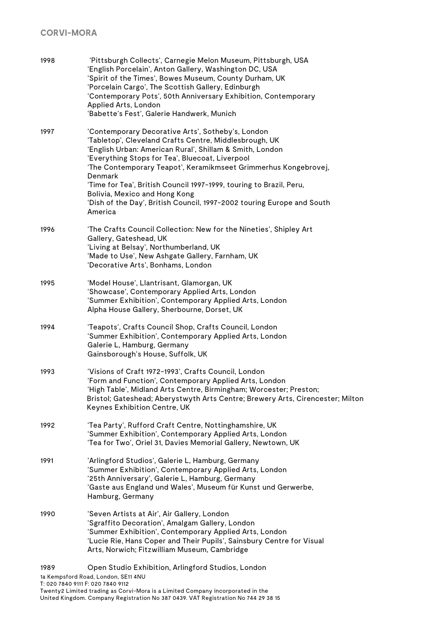| 1998 | 'Pittsburgh Collects', Carnegie Melon Museum, Pittsburgh, USA<br>'English Porcelain', Anton Gallery, Washington DC, USA<br>'Spirit of the Times', Bowes Museum, County Durham, UK<br>'Porcelain Cargo', The Scottish Gallery, Edinburgh<br>'Contemporary Pots', 50th Anniversary Exhibition, Contemporary<br>Applied Arts, London<br>'Babette's Fest', Galerie Handwerk, Munich                                                                                                                       |
|------|-------------------------------------------------------------------------------------------------------------------------------------------------------------------------------------------------------------------------------------------------------------------------------------------------------------------------------------------------------------------------------------------------------------------------------------------------------------------------------------------------------|
| 1997 | 'Contemporary Decorative Arts', Sotheby's, London<br>'Tabletop', Cleveland Crafts Centre, Middlesbrough, UK<br>'English Urban: American Rural', Shillam & Smith, London<br>'Everything Stops for Tea', Bluecoat, Liverpool<br>'The Contemporary Teapot', Keramikmseet Grimmerhus Kongebrovej,<br>Denmark<br>'Time for Tea', British Council 1997-1999, touring to Brazil, Peru,<br>Bolivia, Mexico and Hong Kong<br>'Dish of the Day', British Council, 1997-2002 touring Europe and South<br>America |
| 1996 | 'The Crafts Council Collection: New for the Nineties', Shipley Art<br>Gallery, Gateshead, UK<br>'Living at Belsay', Northumberland, UK<br>'Made to Use', New Ashgate Gallery, Farnham, UK<br>'Decorative Arts', Bonhams, London                                                                                                                                                                                                                                                                       |
| 1995 | 'Model House', Llantrisant, Glamorgan, UK<br>'Showcase', Contemporary Applied Arts, London<br>'Summer Exhibition', Contemporary Applied Arts, London<br>Alpha House Gallery, Sherbourne, Dorset, UK                                                                                                                                                                                                                                                                                                   |
| 1994 | 'Teapots', Crafts Council Shop, Crafts Council, London<br>'Summer Exhibition', Contemporary Applied Arts, London<br>Galerie L, Hamburg, Germany<br>Gainsborough's House, Suffolk, UK                                                                                                                                                                                                                                                                                                                  |
| 1993 | 'Visions of Craft 1972-1993', Crafts Council, London<br>'Form and Function', Contemporary Applied Arts, London<br>'High Table', Midland Arts Centre, Birmingham; Worcester; Preston;<br>Bristol; Gateshead; Aberystwyth Arts Centre; Brewery Arts, Cirencester; Milton<br>Keynes Exhibition Centre, UK                                                                                                                                                                                                |
| 1992 | 'Tea Party', Rufford Craft Centre, Nottinghamshire, UK<br>'Summer Exhibition', Contemporary Applied Arts, London<br>'Tea for Two', Oriel 31, Davies Memorial Gallery, Newtown, UK                                                                                                                                                                                                                                                                                                                     |
| 1991 | 'Arlingford Studios', Galerie L, Hamburg, Germany<br>'Summer Exhibition', Contemporary Applied Arts, London<br>'25th Anniversary', Galerie L, Hamburg, Germany<br>'Gaste aus England und Wales', Museum für Kunst und Gerwerbe,<br>Hamburg, Germany                                                                                                                                                                                                                                                   |
| 1990 | 'Seven Artists at Air', Air Gallery, London<br>'Sgraffito Decoration', Amalgam Gallery, London<br>'Summer Exhibition', Contemporary Applied Arts, London<br>'Lucie Rie, Hans Coper and Their Pupils', Sainsbury Centre for Visual<br>Arts, Norwich; Fitzwilliam Museum, Cambridge                                                                                                                                                                                                                     |
| 1989 | Open Studio Exhibition, Arlingford Studios, London                                                                                                                                                                                                                                                                                                                                                                                                                                                    |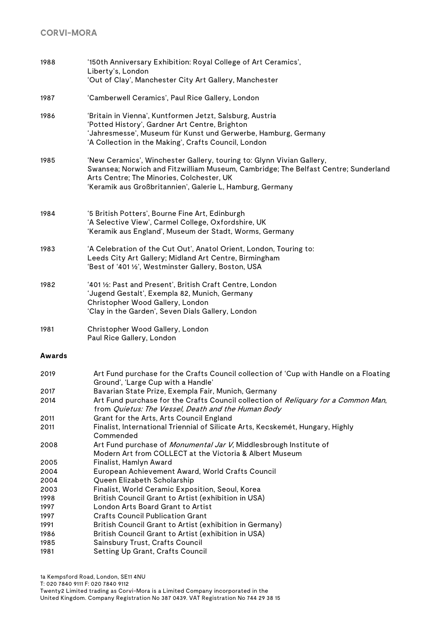| 1988         | '150th Anniversary Exhibition: Royal College of Art Ceramics',<br>Liberty's, London<br>'Out of Clay', Manchester City Art Gallery, Manchester                                                                                                                         |
|--------------|-----------------------------------------------------------------------------------------------------------------------------------------------------------------------------------------------------------------------------------------------------------------------|
|              |                                                                                                                                                                                                                                                                       |
| 1987         | 'Camberwell Ceramics', Paul Rice Gallery, London                                                                                                                                                                                                                      |
| 1986         | 'Britain in Vienna', Kuntformen Jetzt, Salsburg, Austria<br>'Potted History', Gardner Art Centre, Brighton<br>'Jahresmesse', Museum für Kunst und Gerwerbe, Hamburg, Germany<br>'A Collection in the Making', Crafts Council, London                                  |
| 1985         | 'New Ceramics', Winchester Gallery, touring to: Glynn Vivian Gallery,<br>Swansea; Norwich and Fitzwilliam Museum, Cambridge; The Belfast Centre; Sunderland<br>Arts Centre; The Minories, Colchester, UK<br>'Keramik aus Großbritannien', Galerie L, Hamburg, Germany |
| 1984         | '5 British Potters', Bourne Fine Art, Edinburgh<br>'A Selective View', Carmel College, Oxfordshire, UK<br>'Keramik aus England', Museum der Stadt, Worms, Germany                                                                                                     |
| 1983         | 'A Celebration of the Cut Out', Anatol Orient, London, Touring to:<br>Leeds City Art Gallery; Midland Art Centre, Birmingham<br>'Best of '401 1/2', Westminster Gallery, Boston, USA                                                                                  |
| 1982         | '401 1/2: Past and Present', British Craft Centre, London<br>'Jugend Gestalt', Exempla 82, Munich, Germany<br>Christopher Wood Gallery, London<br>'Clay in the Garden', Seven Dials Gallery, London                                                                   |
| 1981         | Christopher Wood Gallery, London<br>Paul Rice Gallery, London                                                                                                                                                                                                         |
| Awards       |                                                                                                                                                                                                                                                                       |
| 2019         | Art Fund purchase for the Crafts Council collection of 'Cup with Handle on a Floating<br>Ground', 'Large Cup with a Handle'                                                                                                                                           |
| 2017<br>2014 | Bavarian State Prize, Exempla Fair, Munich, Germany<br>Art Fund purchase for the Crafts Council collection of Reliquary for a Common Man,                                                                                                                             |

- from Quietus: The Vessel, Death and the Human Body 2011 Grant for the Arts, Arts Council England
- 2011 Finalist, International Triennial of Silicate Arts, Kecskemét, Hungary, Highly Commended
- 2008 Art Fund purchase of *Monumental Jar V*, Middlesbrough Institute of
	- Modern Art from COLLECT at the Victoria & Albert Museum
- 2005 Finalist, Hamlyn Award
- 2004 European Achievement Award, World Crafts Council
- 2004 Queen Elizabeth Scholarship
- 2003 Finalist, World Ceramic Exposition, Seoul, Korea
- 1998 British Council Grant to Artist (exhibition in USA)
- 1997 London Arts Board Grant to Artist
- 1997 Crafts Council Publication Grant
- 1991 British Council Grant to Artist (exhibition in Germany)
- 1986 British Council Grant to Artist (exhibition in USA)
- 1985 Sainsbury Trust, Crafts Council
- 1981 Setting Up Grant, Crafts Council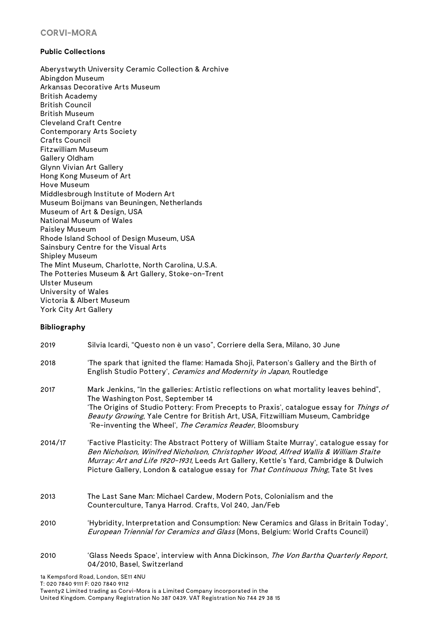### **Public Collections**

Aberystwyth University Ceramic Collection & Archive Abingdon Museum Arkansas Decorative Arts Museum British Academy British Council British Museum Cleveland Craft Centre Contemporary Arts Society Crafts Council Fitzwilliam Museum Gallery Oldham Glynn Vivian Art Gallery Hong Kong Museum of Art Hove Museum Middlesbrough Institute of Modern Art Museum Boijmans van Beuningen, Netherlands Museum of Art & Design, USA National Museum of Wales Paisley Museum Rhode Island School of Design Museum, USA Sainsbury Centre for the Visual Arts Shipley Museum The Mint Museum, Charlotte, North Carolina, U.S.A. The Potteries Museum & Art Gallery, Stoke-on-Trent Ulster Museum University of Wales Victoria & Albert Museum York City Art Gallery

### **Bibliography**

| 2019    | Silvia Icardi, "Questo non è un vaso", Corriere della Sera, Milano, 30 June                                                                                                                                                                                                                                                                                             |
|---------|-------------------------------------------------------------------------------------------------------------------------------------------------------------------------------------------------------------------------------------------------------------------------------------------------------------------------------------------------------------------------|
| 2018    | 'The spark that ignited the flame: Hamada Shoji, Paterson's Gallery and the Birth of<br>English Studio Pottery', Ceramics and Modernity in Japan, Routledge                                                                                                                                                                                                             |
| 2017    | Mark Jenkins, "In the galleries: Artistic reflections on what mortality leaves behind",<br>The Washington Post, September 14<br>'The Origins of Studio Pottery: From Precepts to Praxis', catalogue essay for Things of<br>Beauty Growing, Yale Centre for British Art, USA, Fitzwilliam Museum, Cambridge<br>'Re-inventing the Wheel', The Ceramics Reader, Bloomsbury |
| 2014/17 | 'Factive Plasticity: The Abstract Pottery of William Staite Murray', catalogue essay for<br>Ben Nicholson, Winifred Nicholson, Christopher Wood, Alfred Wallis & William Staite<br>Murray: Art and Life 1920-1931, Leeds Art Gallery, Kettle's Yard, Cambridge & Dulwich<br>Picture Gallery, London & catalogue essay for That Continuous Thing, Tate St Ives           |
| 2013    | The Last Sane Man: Michael Cardew, Modern Pots, Colonialism and the<br>Counterculture, Tanya Harrod. Crafts, Vol 240, Jan/Feb                                                                                                                                                                                                                                           |
| 2010    | 'Hybridity, Interpretation and Consumption: New Ceramics and Glass in Britain Today',<br>European Triennial for Ceramics and Glass (Mons, Belgium: World Crafts Council)                                                                                                                                                                                                |
| 2010    | 'Glass Needs Space', interview with Anna Dickinson, The Von Bartha Quarterly Report,<br>04/2010, Basel, Switzerland                                                                                                                                                                                                                                                     |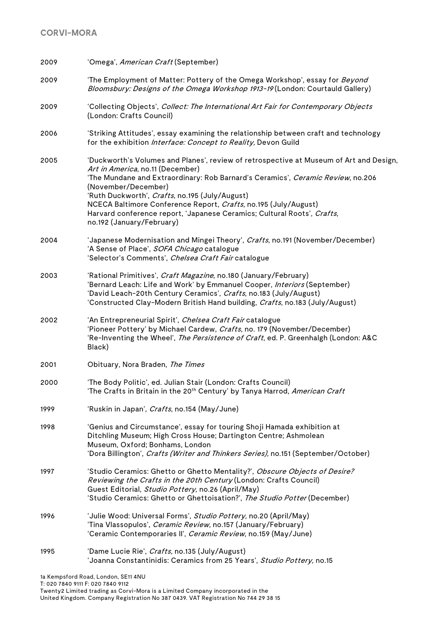| 2009 | 'Omega', American Craft (September)                                                                                                                                                                                                                                                                                                                                                                                                                               |
|------|-------------------------------------------------------------------------------------------------------------------------------------------------------------------------------------------------------------------------------------------------------------------------------------------------------------------------------------------------------------------------------------------------------------------------------------------------------------------|
| 2009 | 'The Employment of Matter: Pottery of the Omega Workshop', essay for Beyond<br>Bloomsbury: Designs of the Omega Workshop 1913-19 (London: Courtauld Gallery)                                                                                                                                                                                                                                                                                                      |
| 2009 | 'Collecting Objects', Collect: The International Art Fair for Contemporary Objects<br>(London: Crafts Council)                                                                                                                                                                                                                                                                                                                                                    |
| 2006 | 'Striking Attitudes', essay examining the relationship between craft and technology<br>for the exhibition Interface: Concept to Reality, Devon Guild                                                                                                                                                                                                                                                                                                              |
| 2005 | 'Duckworth's Volumes and Planes', review of retrospective at Museum of Art and Design,<br>Art in America, no.11 (December)<br>'The Mundane and Extraordinary: Rob Barnard's Ceramics', Ceramic Review, no.206<br>(November/December)<br>'Ruth Duckworth', Crafts, no.195 (July/August)<br>NCECA Baltimore Conference Report, Crafts, no.195 (July/August)<br>Harvard conference report, 'Japanese Ceramics; Cultural Roots', Crafts,<br>no.192 (January/February) |
| 2004 | 'Japanese Modernisation and Mingei Theory', Crafts, no.191 (November/December)<br>'A Sense of Place', SOFA Chicago catalogue<br>'Selector's Comments', Chelsea Craft Fair catalogue                                                                                                                                                                                                                                                                               |
| 2003 | 'Rational Primitives', Craft Magazine, no.180 (January/February)<br>'Bernard Leach: Life and Work' by Emmanuel Cooper, Interiors (September)<br>'David Leach-20th Century Ceramics', Crafts, no.183 (July/August)<br>'Constructed Clay-Modern British Hand building, Crafts, no.183 (July/August)                                                                                                                                                                 |
| 2002 | 'An Entrepreneurial Spirit', Chelsea Craft Fair catalogue<br>'Pioneer Pottery' by Michael Cardew, Crafts, no. 179 (November/December)<br>'Re-Inventing the Wheel', The Persistence of Craft, ed. P. Greenhalgh (London: A&C<br>Black)                                                                                                                                                                                                                             |
| 2001 | Obituary, Nora Braden, The Times                                                                                                                                                                                                                                                                                                                                                                                                                                  |
| 2000 | 'The Body Politic', ed. Julian Stair (London: Crafts Council)<br>'The Crafts in Britain in the 20 <sup>th</sup> Century' by Tanya Harrod, American Craft                                                                                                                                                                                                                                                                                                          |
| 1999 | 'Ruskin in Japan', Crafts, no.154 (May/June)                                                                                                                                                                                                                                                                                                                                                                                                                      |
| 1998 | 'Genius and Circumstance', essay for touring Shoji Hamada exhibition at<br>Ditchling Museum; High Cross House; Dartington Centre; Ashmolean<br>Museum, Oxford; Bonhams, London<br>'Dora Billington', Crafts (Writer and Thinkers Series), no.151 (September/October)                                                                                                                                                                                              |
| 1997 | 'Studio Ceramics: Ghetto or Ghetto Mentality?', Obscure Objects of Desire?<br>Reviewing the Crafts in the 20th Century (London: Crafts Council)<br>Guest Editorial, Studio Pottery, no.26 (April/May)<br>'Studio Ceramics: Ghetto or Ghettoisation?', The Studio Potter (December)                                                                                                                                                                                |
| 1996 | 'Julie Wood: Universal Forms', Studio Pottery, no.20 (April/May)<br>'Tina Vlassopulos', Ceramic Review, no.157 (January/February)<br>'Ceramic Contemporaries II', Ceramic Review, no.159 (May/June)                                                                                                                                                                                                                                                               |
| 1995 | 'Dame Lucie Rie', Crafts, no.135 (July/August)<br>'Joanna Constantinidis: Ceramics from 25 Years', Studio Pottery, no.15                                                                                                                                                                                                                                                                                                                                          |
|      |                                                                                                                                                                                                                                                                                                                                                                                                                                                                   |